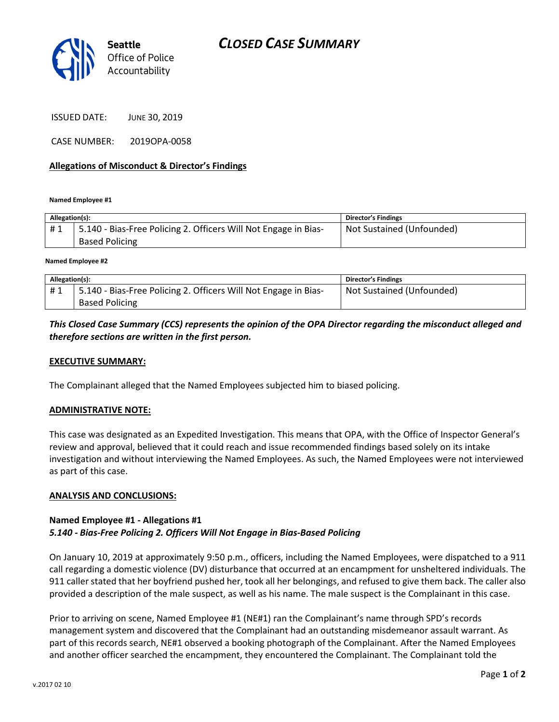

ISSUED DATE: JUNE 30, 2019

CASE NUMBER: 2019OPA-0058

### Allegations of Misconduct & Director's Findings

Named Employee #1

| Allegation(s): |                                                                 | <b>Director's Findings</b> |
|----------------|-----------------------------------------------------------------|----------------------------|
| #1             | 5.140 - Bias-Free Policing 2. Officers Will Not Engage in Bias- | Not Sustained (Unfounded)  |
|                | <b>Based Policing</b>                                           |                            |
|                |                                                                 |                            |

Named Employee #2

| Allegation(s): |                                                                 | <b>Director's Findings</b> |
|----------------|-----------------------------------------------------------------|----------------------------|
| #1             | 5.140 - Bias-Free Policing 2. Officers Will Not Engage in Bias- | Not Sustained (Unfounded)  |
|                | <b>Based Policing</b>                                           |                            |

# This Closed Case Summary (CCS) represents the opinion of the OPA Director regarding the misconduct alleged and therefore sections are written in the first person.

## EXECUTIVE SUMMARY:

The Complainant alleged that the Named Employees subjected him to biased policing.

#### ADMINISTRATIVE NOTE:

This case was designated as an Expedited Investigation. This means that OPA, with the Office of Inspector General's review and approval, believed that it could reach and issue recommended findings based solely on its intake investigation and without interviewing the Named Employees. As such, the Named Employees were not interviewed as part of this case.

#### ANALYSIS AND CONCLUSIONS:

## Named Employee #1 - Allegations #1 5.140 - Bias-Free Policing 2. Officers Will Not Engage in Bias-Based Policing

On January 10, 2019 at approximately 9:50 p.m., officers, including the Named Employees, were dispatched to a 911 call regarding a domestic violence (DV) disturbance that occurred at an encampment for unsheltered individuals. The 911 caller stated that her boyfriend pushed her, took all her belongings, and refused to give them back. The caller also provided a description of the male suspect, as well as his name. The male suspect is the Complainant in this case.

Prior to arriving on scene, Named Employee #1 (NE#1) ran the Complainant's name through SPD's records management system and discovered that the Complainant had an outstanding misdemeanor assault warrant. As part of this records search, NE#1 observed a booking photograph of the Complainant. After the Named Employees and another officer searched the encampment, they encountered the Complainant. The Complainant told the